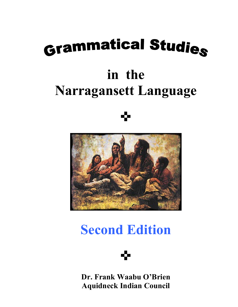# Grammatical Studies

# **in the Narragansett Language**

# ✜



## **Second Edition**



**Dr. Frank Waabu O'Brien Aquidneck Indian Council**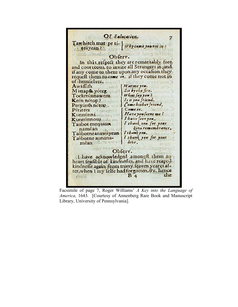Of Salutation. z Tawhitch mat pe ti-Why come you not in teayean? Obferv. In this refpect they are remarkably free. and courteous, to invite all Strangers in ; and if any come to them upon any occasion they request them to come in, if they come not in of themselves. Awaffifh Warme you. Sit by the fire. Mattapfh yoter  $What (41) on?$ Tocketúnnawem Is it you friend. Keén nétop? Come bither friend. Peeyaufh netop Come in. Pétitees STUTOV Have you feeme me? Kunnunni I have feen you. Kunnunnous I thank you for your. Taubot mequaun kina remembrance. namêan Ishankyou. Taubotneanawayean | I thank you for your Taûbotne aunanamêan love. Obferv.  $CTFT$ I have acknowledged amongft them an heart feafible of kindnefles, and have reaped kindneffe again from many feaven yeares atter, when I my felfe had forgotten, or c. hence the  $B<sub>4</sub>$ moin

Facsimile of page 7, Roger Williams' *A Key into the Language of America,* 1643*.* [Courtesy of Annenberg Rare Book and Manuscript Library, University of Pennsylvania].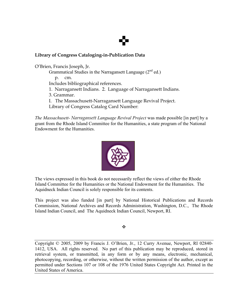# ✜

#### **Library of Congress Cataloging-in-Publication Data**

O'Brien, Francis Joseph, Jr. Grammatical Studies in the Narragansett Language (2<sup>nd</sup> ed.) p. cm. Includes bibliographical references. 1. Narragansett Indians. 2. Language of Narragansett Indians. 3. Grammar. I. The Massachusett-Narragansett Language Revival Project. Library of Congress Catalog Card Number:

*The Massachusett- Narragansett Language Revival Project* was made possible [in part] by a grant from the Rhode Island Committee for the Humanities, a state program of the National Endowment for the Humanities.



The views expressed in this book do not necessarily reflect the views of either the Rhode Island Committee for the Humanities or the National Endowment for the Humanities. The Aquidneck Indian Council is solely responsible for its contents.

This project was also funded [in part] by National Historical Publications and Records Commission, National Archives and Records Administration, Washington, D.C., The Rhode Island Indian Council, and The Aquidneck Indian Council, Newport, RI.

❖

Copyright © 2005, 2009 by Francis J. O'Brien, Jr., 12 Curry Avenue, Newport, RI 02840- 1412, USA. All rights reserved. No part of this publication may be reproduced, stored in retrieval system, or transmitted, in any form or by any means, electronic, mechanical, photocopying, recording, or otherwise, without the written permission of the author, except as permitted under Sections 107 or 108 of the 1976 United States Copyright Act. Printed in the United States of America.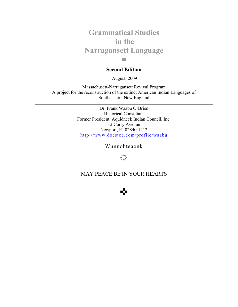## **Grammatical Studies in the Narragansett Language**

#### **Second Edition**

**▄**

August, 2009

Massachusett-Narragansett Revival Program A project for the reconstruction of the extinct American Indian Languages of Southeastern New England

> Dr. Frank Waabu O'Brien Historical Consultant Former President, Aquidneck Indian Council, Inc. 12 Curry Avenue Newport, RI 02840-1412 http://www.docstoc.com/profile/waabu

> > Wunnohteaonk

## **☼**

MAY PEACE BE IN YOUR HEARTS

✜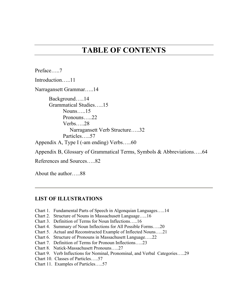## **TABLE OF CONTENTS**

Preface…..7 Introduction…..11 Narragansett Grammar…..14 Background…..14 Grammatical Studies…..15 Nouns…..15 Pronouns…..22 Verbs…..28 Narragansett Verb Structure…..32 Particles…..57 Appendix A, Type I (-am ending) Verbs…..60

Appendix B, Glossary of Grammatical Terms, Symbols & Abbreviations…..64

References and Sources…..82

About the author…..88

#### **LIST OF ILLUSTRATIONS**

- Chart 1. Fundamental Parts of Speech in Algonquian Languages…..14
- Chart 2. Structure of Nouns in Massachusett Language…..16
- Chart 3. Definition of Terms for Noun Inflections…..16
- Chart 4. Summary of Noun Inflections for All Possible Forms…..20
- Chart 5. Actual and Reconstructed Example of Inflected Nouns…..21
- Chart 6. Structure of Pronouns in Massachusett Language…..22
- Chart 7. Definition of Terms for Pronoun Inflections…..23
- Chart 8. Natick-Massachusett Pronouns…..27
- Chart 9. Verb Inflections for Nominal, Pronominal, and Verbal Categories…..29
- Chart 10. Classes of Particles…..57
- Chart 11. Examples of Particles…..57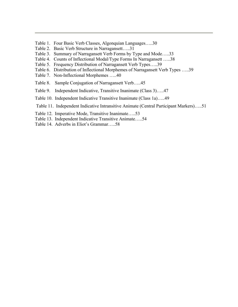- Table 1. Four Basic Verb Classes, Algonquian Languages…..30
- Table 2. Basic Verb Structure in Narragansett…..31
- Table 3. Summary of Narragansett Verb Forms by Type and Mode…..33
- Table 4. Counts of Inflectional Modal/Type Forms In Narragansett …..38
- Table 5. Frequency Distribution of Narragansett Verb Types…..39
- Table 6. Distribution of Inflectional Morphemes of Narragansett Verb Types …..39
- Table 7. Non-Inflectional Morphemes …..40
- Table 8. Sample Conjugation of Narragansett Verb…..45
- Table 9. Independent Indicative, Transitive Inanimate (Class 3)…..47
- Table 10. Independent Indicative Transitive Inanimate (Class 1a)…..49
- Table 11. Independent Indicative Intransitive Animate (Central Participant Markers)…..51
- Table 12. Imperative Mode, Transitive Inanimate…..53
- Table 13. Independent Indicative Transitive Animate…..54
- Table 14. Adverbs in Eliot's Grammar…..58